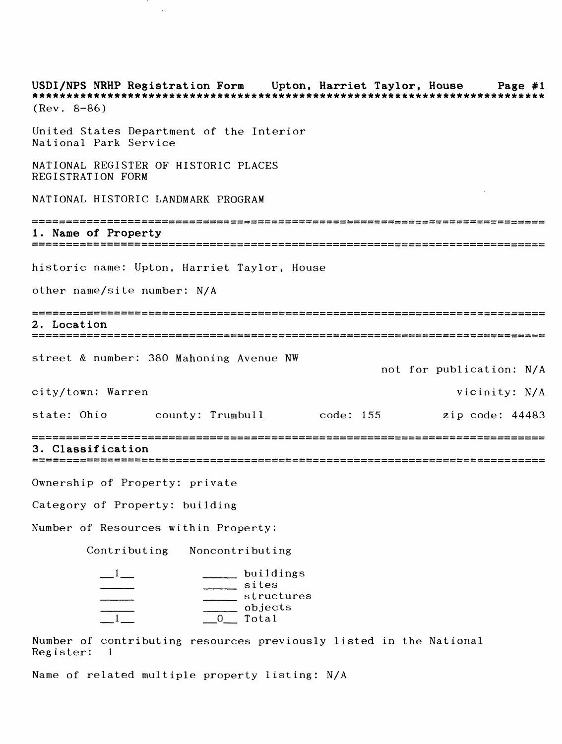USDI/NPS NRHP Registration Form Upton, Harriet Taylor, House Page #1 \*\*\*\*\*\*\*\*\*\*\* (Rev. 8-86) United States Department of the Interior National Park Service NATIONAL REGISTER OF HISTORIC PLACES REGISTRATION FORM NATIONAL HISTORIC LANDMARK PROGRAM 1. Name of Property historic name: Upton, Harriet Taylor, House other name/site number: N/A 2. Location street & number: 380 Mahoning Avenue NW not for publication: N/A city/town: Warren vicinity: N/A state: Ohio county: Trumbull code: 155 zip code: 44483 3. Classification Ownership of Property: private Category of Property: building Number of Resources within Property: Contributing Noncontributing \_\_\_\_\_ buildings \_\_\_\_ \_\_\_\_ sites \_\_\_\_\_ \_\_\_\_\_ structures \_\_\_\_ \_\_\_\_ objects \_1\_ \_0\_ Total

Number of contributing resources previously listed in the National Register: 1

Name of related multiple property listing: N/A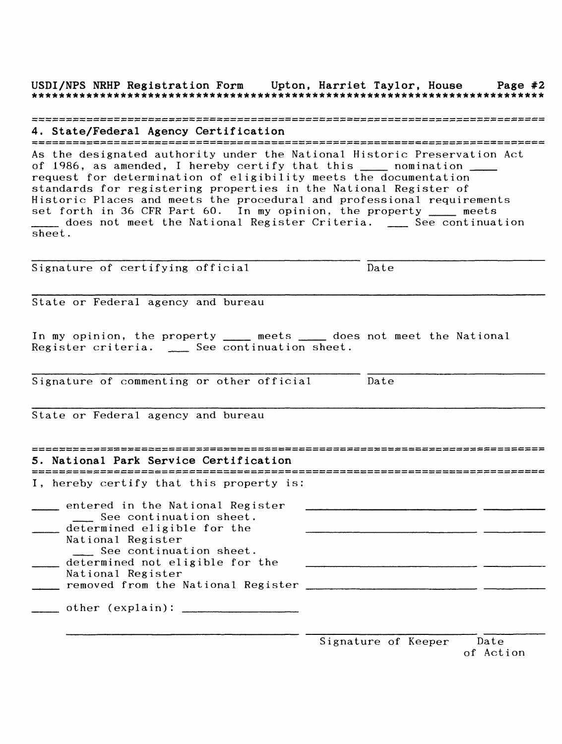USDI/NPS NRHP Registration Form Upton, Harriet Taylor, House Page #2

## 

4. State/Federal Agency Certification As the designated authority under the National Historic Preservation Act of 1986, as amended, I hereby certify that this \_\_\_\_ nomination \_\_ request for determination of eligibility meets the documentation standards for registering properties in the National Register of Historic Places and meets the procedural and professional requirements set forth in 36 CFR Part 60. In my opinion, the property \_\_\_\_ meets \_\_\_ does not meet the National Register Criteria. \_\_ See continuation sheet.

Signature of certifying official Date

State or Federal agency and bureau

In my opinion, the property \_\_\_\_ meets \_\_\_\_ does not meet the National Register criteria. \_\_ See continuation sheet.

Signature of commenting or other official Date

State or Federal agency and bureau

| 5. National Park Service Certification                                                                                                                                                                                                     |  |
|--------------------------------------------------------------------------------------------------------------------------------------------------------------------------------------------------------------------------------------------|--|
| I, hereby certify that this property is:                                                                                                                                                                                                   |  |
| entered in the National Register<br>See continuation sheet.<br>determined eligible for the<br>National Register<br>See continuation sheet.<br>determined not eligible for the<br>National Register<br>removed from the National Register _ |  |
| other (explain):                                                                                                                                                                                                                           |  |

| Signature of Keeper |  | Date |           |
|---------------------|--|------|-----------|
|                     |  |      | of Action |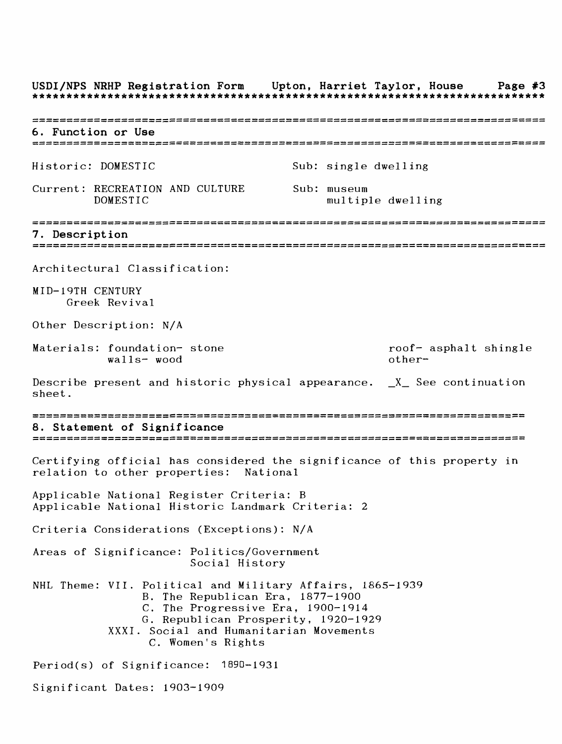USDI/NPS NRHP Registration Form Upton, Harriet Taylor, House Page #3 6. Function or Use Historic: DOMESTIC Sub: single dwelling Current: RECREATION AND CULTURE Sub: museum DOMESTIC multiple dwelling 7. Description = = = = = = = = = = = = = = = = = ;=s=s== = = = = = = = = = = = := = = =: = = === = = = = = = === = = = != = r:=: = =: = = = = = := = = = = =: = =:: Architectural Classification: MID-19TH CENTURY Greek Revival Other Description: N/A Materials: foundation- stone roof- asphalt shingle walls-wood other-Describe present and historic physical appearance.  $X$  See continuation sheet. 2! HZ HZ HZ HZZZ HZ HZ ZZHZ HZ ZHiHZ HH HZ HZ ZH ZZ ZZ ZZ SI ZZ HZ HZ HS 2 «^ HZ HZ HZ HZ ZZ ZZ1ZZ 5!£ ZZHZ HZ HZ ZZ Z£ HZ ZZ HZ ^Z ^Z HZ HZ "^L ^Z ^H HZ HZ HZ HZ HZ SZ! HZ HH HH ^Z HZ HZ HZ HZ ZZ ZZ HZHH HZ SZ 8. Statement of Significance Certifying official has considered the significance of this property in relation to other properties: National Applicable National Register Criteria: B Applicable National Historic Landmark Criteria: 2 Criteria Considerations (Exceptions): N/A Areas of Significance: Politics/Government Social History NHL Theme: VII. Political and Military Affairs, 1865-1939 B. The Republican Era, 1877-1900 C. The Progressive Era, 1900-1914 G. Republican Prosperity, 1920-1929 XXXI. Social and Humanitarian Movements C. Women's Rights Period(s) of Significance: 1890-1931 Significant Dates: 1903-1909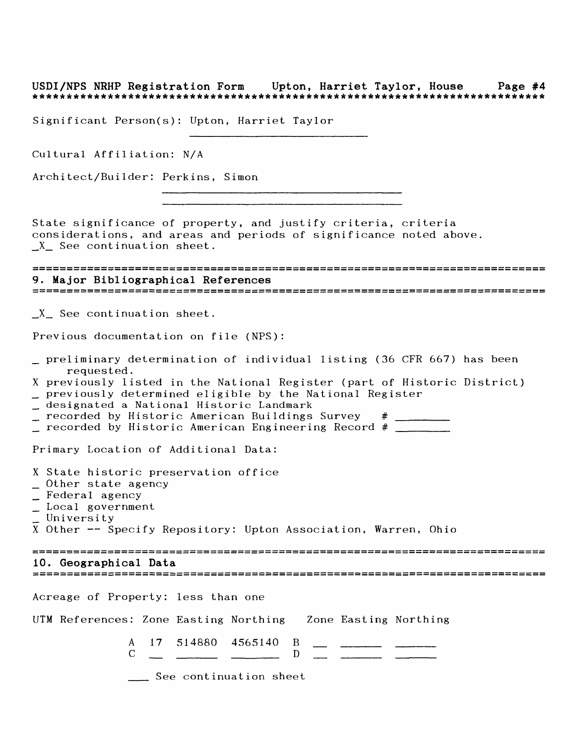# USDI/NPS NRHP Registration Form Upton, Harriet Taylor, House Page #4

Significant Person(s): Upton, Harriet Taylor

Cultural Affiliation: N/A

Architect/Builder: Perkins, Simon

State significance of property, and justify criteria, criteria considerations, and areas and periods of significance noted above. X See continuation sheet.

### 9. Major Bibliographical References

X See continuation sheet.

Previous documentation on file (NPS):

- \_ preliminary determination of individual listing (36 CFR 667) has been requested.
- X previously listed in the National Register (part of Historic District) \_ previously determined eligible by the National Register
- \_\_ designated a National Historic Landmark
- $\_$  recorded by Historic American Buildings Survey  $#$

 $\_$  recorded by Historic American Engineering Record #  $\_$ 

Primary Location of Additional Data:

- X State historic preservation office
- \_ Other state agency
- \_ Federal agency
- \_ Local government
- University

X Other -- Specify Repository: Upton Association, Warren, Ohio

#### 10. Geographical Data

Acreage of Property: less than one

UTM References: Zone Easting Northing Zone Easting Northing

|  | A 17 514880 4565140 B |  |  |
|--|-----------------------|--|--|
|  |                       |  |  |
|  |                       |  |  |
|  |                       |  |  |

See continuation sheet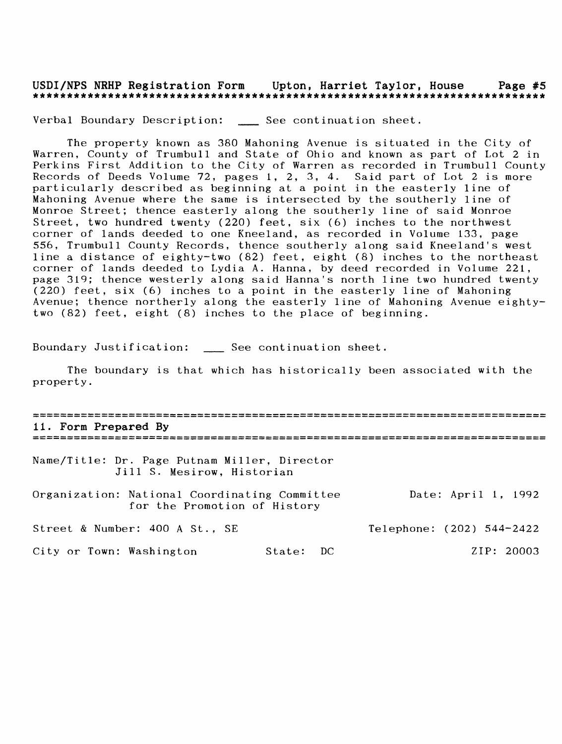## USDI/NPS NRHP Registration Form Upton, Harriet Taylor, House Page #5

Verbal Boundary Description: \_\_ See continuation sheet.

The property known as 380 Mahoning Avenue is situated in the City of Warren, County of Trumbull and State of Ohio and known as part of Lot 2 in Perkins First Addition to the City of Warren as recorded in Trumbull County Records of Deeds Volume 72, pages 1, 2, 3, 4. Said part of Lot 2 is more particularly described as beginning at a point in the easterly line of Mahoning Avenue where the same is intersected by the southerly line of Monroe Street; thence easterly along the southerly line of said Monroe Street, two hundred twenty (220) feet, six (6) inches to the northwest corner of lands deeded to one Kneeland, as recorded in Volume 133, page 556, Trumbull County Records, thence southerly along said Kneeland's west line a distance of eighty-two (82) feet, eight (8) inches to the northeast corner of lands deeded to Lydia A. Hanna, by deed recorded in Volume 221, page 319; thence westerly along said Hanna's north line two hundred twenty (220) feet, six (6) inches to a point in the easterly line of Mahoning Avenue; thence northerly along the easterly line of Mahoning Avenue eightytwo (82) feet, eight (8) inches to the place of beginning.

Boundary Justification: \_\_ See continuation sheet.

The boundary is that which has historically been associated with the property.

| 11. Form Prepared By                                                          |           |                           |
|-------------------------------------------------------------------------------|-----------|---------------------------|
|                                                                               |           |                           |
| Name/Title: Dr. Page Putnam Miller, Director<br>Jill S. Mesirow, Historian    |           |                           |
| Organization: National Coordinating Committee<br>for the Promotion of History |           | Date: April 1, 1992       |
| Street & Number: 400 A St., SE                                                |           | Telephone: (202) 544-2422 |
| City or Town: Washington                                                      | State: DC | ZIP: 20003                |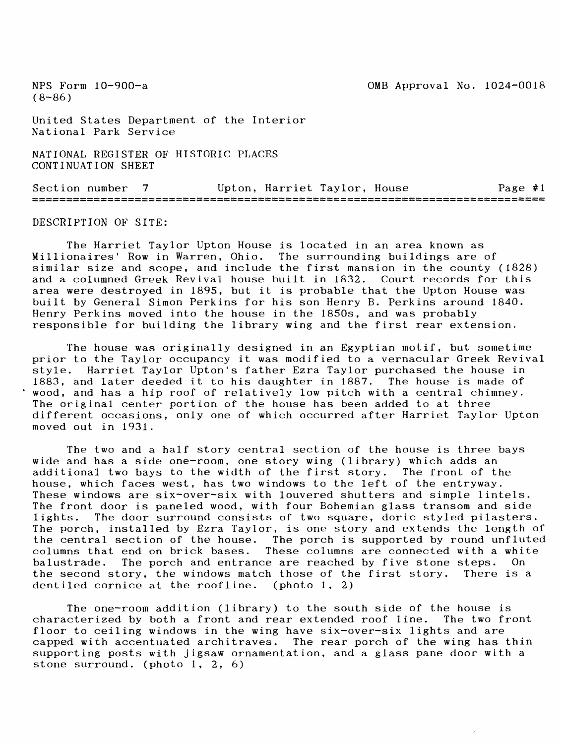United States Department of the Interior National Park Service

NATIONAL REGISTER OF HISTORIC PLACES CONTINUATION SHEET

Section number 7 Upton, Harriet Taylor, House Page #1

DESCRIPTION OF SITE:

The Harriet Taylor Upton House is located in an area known as Millionaires' Row in Warren, Ohio. The surrounding buildings are of similar size and scope, and include the first mansion in the county (1828) and a columned Greek Revival house built in 1832. Court records for this area were destroyed in 1895, but it is probable that the Upton House was built by General Simon Perkins for his son Henry B. Perkins around 1840. Henry Perkins moved into the house in the 1850s, and was probably responsible for building the library wing and the first rear extension.

The house was originally designed in an Egyptian motif, but sometime prior to the Taylor occupancy it was modified to a vernacular Greek Revival style. Harriet Taylor Upton's father Ezra Taylor purchased the house in 1883, and later deeded it to his daughter in 1887. The house is made of wood, and has a hip roof of relatively low pitch with a central chimney. The original center portion of the house has been added to at three different occasions, only one of which occurred after Harriet Taylor Upton moved out in 1931.

The two and a half story central section of the house is three bays wide and has a side one-room, one story wing (library) which adds an additional two bays to the width of the first story. The front of the house, which faces west, has two windows to the left of the entryway. These windows are six-over-six with louvered shutters and simple lintels. The front door is paneled wood, with four Bohemian glass transom and side lights. The door surround consists of two square, doric styled pilasters. The porch, installed by Ezra Taylor, is one story and extends the length of the central section of the house. The porch is supported by round unfluted columns that end on brick bases. These columns are connected with a white balustrade. The porch and entrance are reached by five stone steps. On the second story, the windows match those of the first story. There is a dentiled cornice at the roofline. (photo 1, 2)

The one-room addition (library) to the south side of the house is characterized by both a front and rear extended roof line. The two front floor to ceiling windows in the wing have six-over-six lights and are capped with accentuated architraves. The rear porch of the wing has thin supporting posts with jigsaw ornamentation, and a glass pane door with a stone surround, (photo 1, 2, 6)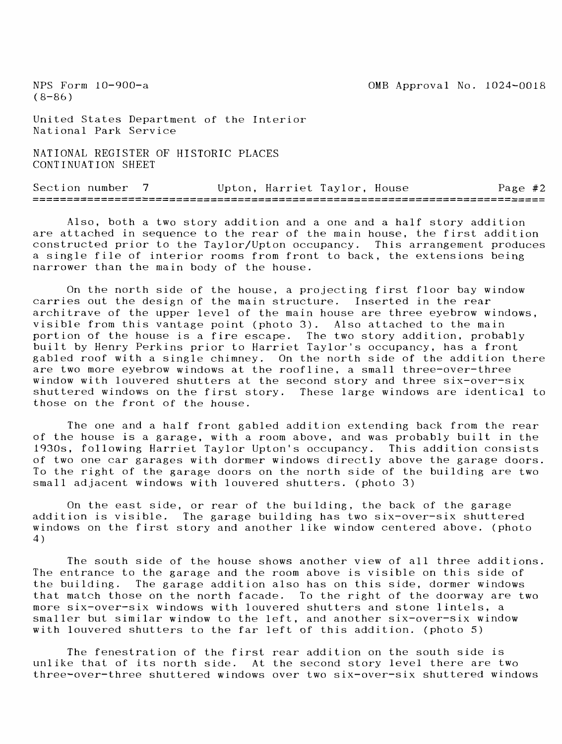$(8-86)$ 

United States Department of the Interior National Park Service

NATIONAL REGISTER OF HISTORIC PLACES CONTINUATION SHEET

Section number 7 Upton, Harriet Taylor, House Page #2

Also, both a two story addition and a one and a half story addition are attached in sequence to the rear of the main house, the first addition constructed prior to the Taylor/Upton occupancy. This arrangement produces a single file of interior rooms from front to back, the extensions being narrower than the main body of the house.

On the north side of the house, a projecting first floor bay window carries out the design of the main structure. Inserted in the rear architrave of the upper level of the main house are three eyebrow windows, visible from this vantage point (photo 3). Also attached to the main portion of the house is a fire escape. The two story addition, probably built by Henry Perkins prior to Harriet Taylor's occupancy, has a front gabled roof with a single chimney. On the north side of the addition there are two more eyebrow windows at the roofline, a small three-over-three window with louvered shutters at the second story and three six-over-six shuttered windows on the first story. These large windows are identical to those on the front of the house.

The one and a half front gabled addition extending back from the rear of the house is a garage, with a room above, and was probably built in the 1930s, following Harriet Taylor Upton's occupancy. This addition consists of two one car garages with dormer windows directly above the garage doors. To the right of the garage doors on the north side of the building are two small adjacent windows with louvered shutters, (photo 3)

On the east side, or rear of the building, the back of the garage addition is visible. The garage building has two six-over-six shuttered windows on the first story and another like window centered above, (photo 4)

The south side of the house shows another view of all three additions. The entrance to the garage and the room above is visible on this side of the building. The garage addition also has on this side, dormer windows that match those on the north facade. To the right of the doorway are two more six-over-six windows with louvered shutters and stone lintels, a smaller but similar window to the left, and another six-over-six window with louvered shutters to the far left of this addition, (photo 5)

The fenestration of the first rear addition on the south side is unlike that of its north side. At the second story level there are two three-over-three shuttered windows over two six-over-six shuttered windows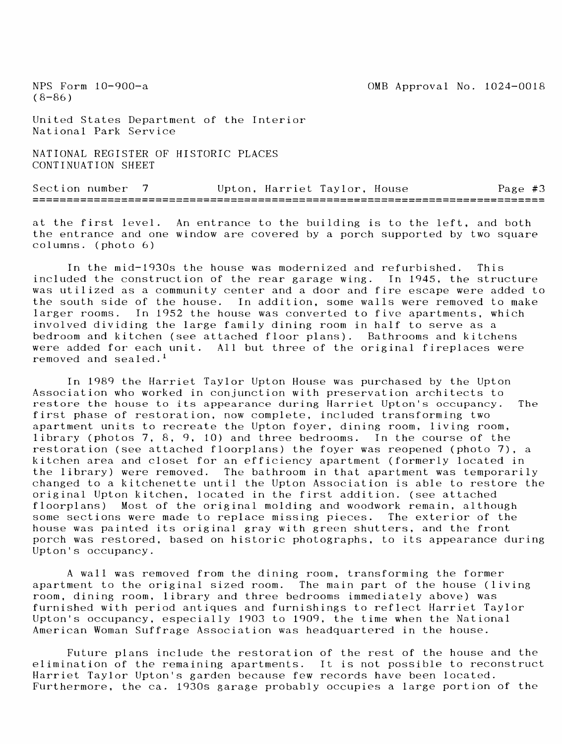United States Department of the Interior National Park Service

NATIONAL REGISTER OF HISTORIC PLACES CONTINUATION SHEET

Section number 7 Upton, Harriet Taylor, House 28 Page #3 

at the first level. An entrance to the building is to the left, and both the entrance and one window are covered by a porch supported by two square columns, (photo 6)

In the mid-1930s the house was modernized and refurbished. This included the construction of the rear garage wing. In 1945, the structure was utilized as a community center and a door and fire escape were added to the south side of the house. In addition, some walls were removed to make larger rooms. In 1952 the house was converted to five apartments, which involved dividing the large family dining room in half to serve as a bedroom and kitchen (see attached floor plans). Bathrooms and kitchens were added for each unit. All but three of the original fireplaces were removed and sealed. <sup>1</sup>

In 1989 the Harriet Taylor Upton House was purchased by the Upton Association who worked in conjunction with preservation architects to restore the house to its appearance during Harriet Upton's occupancy. The first phase of restoration, now complete, included transforming two apartment units to recreate the Upton foyer, dining room, living room, library (photos 7, 8, 9, 10) and three bedrooms. In the course of the restoration (see attached floorplans) the foyer was reopened (photo 7), a kitchen area and closet for an efficiency apartment (formerly located in the library) were removed. The bathroom in that apartment was temporarily changed to a kitchenette until the Upton Association is able to restore the original Upton kitchen, located in the first addition, (see attached floorplans) Most of the original molding and woodwork remain, although some sections were made to replace missing pieces. The exterior of the house was painted its original gray with green shutters, and the front porch was restored, based on historic photographs, to its appearance during Upton's occupancy.

A wall was removed from the dining room, transforming the former apartment to the original sized room. The main part of the house (living room, dining room, library and three bedrooms immediately above) was furnished with period antiques and furnishings to reflect Harriet Taylor Upton's occupancy, especially 1903 to 1909, the time when the National American Woman Suffrage Association was headquartered in the house.

Future plans include the restoration of the rest of the house and the elimination of the remaining apartments. It is not possible to reconstruct Harriet Taylor Upton's garden because few records have been located. Furthermore, the ca. 1930s garage probably occupies a large portion of the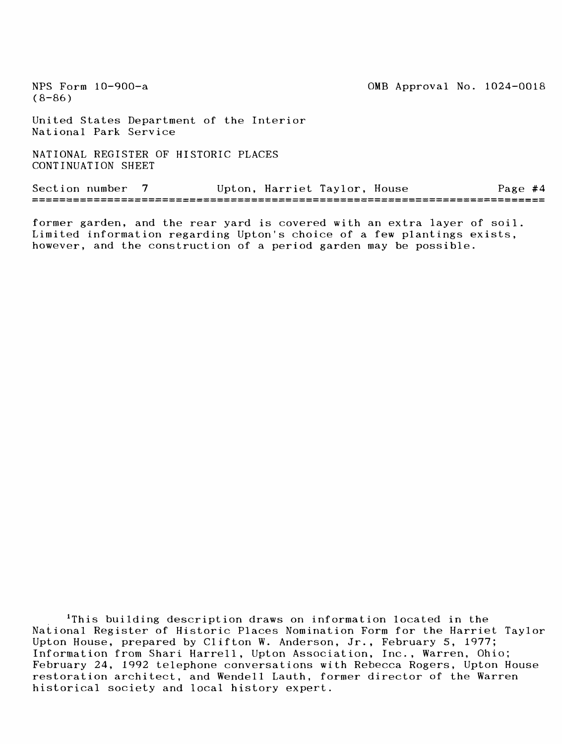United States Department of the Interior National Park Service

NATIONAL REGISTER OF HISTORIC PLACES CONTINUATION SHEET

Section number 7 Upton, Harriet Taylor, House Page #4

former garden, and the rear yard is covered with an extra layer of soil. Limited information regarding Upton's choice of a few plantings exists, however, and the construction of a period garden may be possible.

<sup>1</sup>This building description draws on information located in the National Register of Historic Places Nomination Form for the Harriet Taylor Upton House, prepared by Clifton W. Anderson, Jr., February 5, 1977; Information from Shari Harrell, Upton Association, Inc., Warren, Ohio; February 24, 1992 telephone conversations with Rebecca Rogers, Upton House restoration architect, and Wendell Lauth, former director of the Warren historical society and local history expert.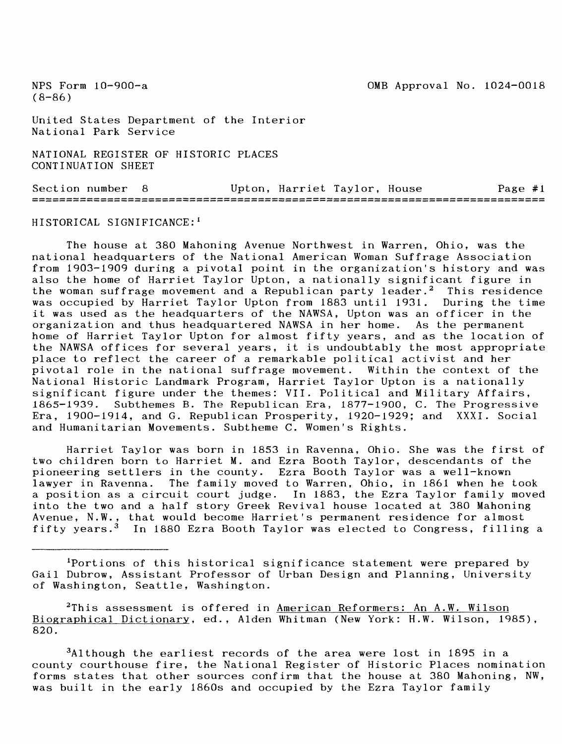United States Department of the Interior National Park Service

NATIONAL REGISTER OF HISTORIC PLACES CONTINUATION SHEET

Section number 8 Upton, Harriet Taylor, House Page #1

HISTORICAL SIGNIFICANCE: <sup>1</sup>

The house at 380 Mahoning Avenue Northwest in Warren, Ohio, was the national headquarters of the National American Woman Suffrage Association from 1903-1909 during a pivotal point in the organization's history and was also the home of Harriet Taylor Upton, a nationally significant figure in the woman suffrage movement and a Republican party leader.<sup>2</sup> This residence was occupied by Harriet Taylor Upton from 1883 until 1931. During the time it was used as the headquarters of the NAWSA, Upton was an officer in the organization and thus headquartered NAWSA in her home. As the permanent home of Harriet Taylor Upton for almost fifty years, and as the location of the NAWSA offices for several years, it is undoubtably the most appropriate place to reflect the career of a remarkable political activist and her pivotal role in the national suffrage movement. Within the context of the National Historic Landmark Program, Harriet Taylor Upton is a nationally significant figure under the themes: VII. Political and Military Affairs, 1865-1939. Subthemes B. The Republican Era, 1877-1900, C. The Progressive Era, 1900-1914, and G. Republican Prosperity, 1920-1929; and XXXI. Social and Humanitarian Movements. Subtheme C. Women's Rights.

Harriet Taylor was born in 1853 in Ravenna, Ohio. She was the first of two children born to Harriet M. and Ezra Booth Taylor, descendants of the pioneering settlers in the county. Ezra Booth Taylor was a well-known lawyer in Ravenna. The family moved to Warren, Ohio, in 1861 when he took a position as a circuit court judge. In 1883, the Ezra Taylor family moved into the two and a half story Greek Revival house located at 380 Mahoning Avenue, N.W., that would become Harriet's permanent residence for almost fifty years.<sup>3</sup> In 1880 Ezra Booth Taylor was elected to Congress, filling a

Portions of this historical significance statement were prepared by Gail Dubrow, Assistant Professor of Urban Design and Planning, University of Washington, Seattle, Washington.

<sup>2</sup>This assessment is offered in American Reformers: An A.W. Wilson Biographical Dictionary, ed., Alden Whitman (New York: H.W. Wilson, 1985), 820.

3Although the earliest records of the area were lost in 1895 in a county courthouse fire, the National Register of Historic Places nomination forms states that other sources confirm that the house at 380 Mahoning, NW, was built in the early 1860s and occupied by the Ezra Taylor family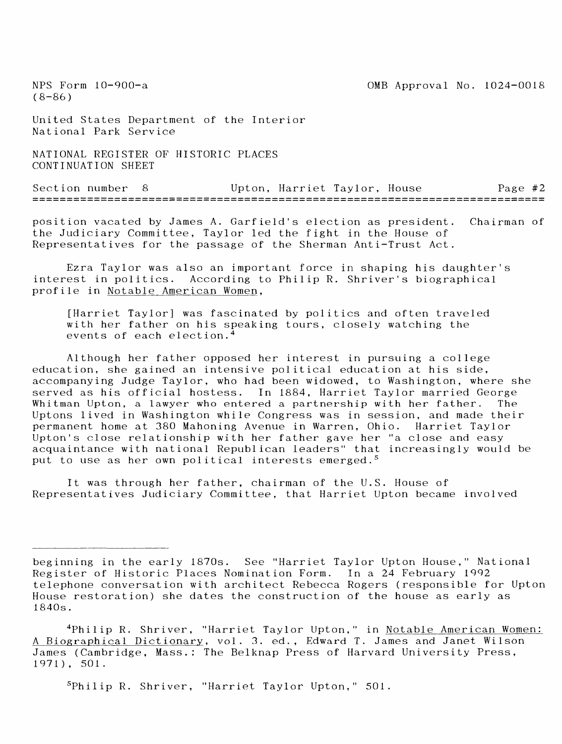$(8-86)$ 

United States Department of the Interior National Park Service

NATIONAL REGISTER OF HISTORIC PLACES CONTINUATION SHEET

Section number 8 Upton, Harriet Taylor, House Page #2

position vacated by James A. Garfield's election as president. Chairman of the Judiciary Committee, Taylor led the fight in the House of Representatives for the passage of the Sherman Anti-Trust Act.

Ezra Taylor was also an important force in shaping his daughter's interest in politics. According to Philip R. Shriver's biographical profile in Notable American Women.

[Harriet Taylor] was fascinated by politics and often traveled with her father on his speaking tours, closely watching the events of each election. <sup>4</sup>

Although her father opposed her interest in pursuing a college education, she gained an intensive political education at his side, accompanying Judge Taylor, who had been widowed, to Washington, where she served as his official hostess. In 1884, Harriet Taylor married George Whitman Upton, a lawyer who entered a partnership with her father. The Uptons lived in Washington while Congress was in session, and made their permanent home at 380 Mahoning Avenue in Warren, Ohio. Harriet Taylor Upton's close relationship with her father gave her "a close and easy acquaintance with national Republican leaders" that increasingly would be put to use as her own political interests emerged.<sup>5</sup>

It was through her father, chairman of the U.S. House of Representatives Judiciary Committee, that Harriet Upton became involved

<sup>5</sup> Philip R. Shriver, "Harriet Taylor Upton," 501.

beginning in the early 1870s. See "Harriet Taylor Upton House," National Register of Historic Places Nomination Form. In a 24 February 1992 telephone conversation with architect Rebecca Rogers (responsible for Upton House restoration) she dates the construction of the house as early as 1840s.

<sup>&</sup>lt;sup>4</sup>Philip R. Shriver, "Harriet Taylor Upton," in <u>Notable American Women:</u> A Biographical Dictionary, vol. 3. ed., Edward T. James and Janet Wilson James (Cambridge, Mass.: The Belknap Press of Harvard University Press, 1971), 501.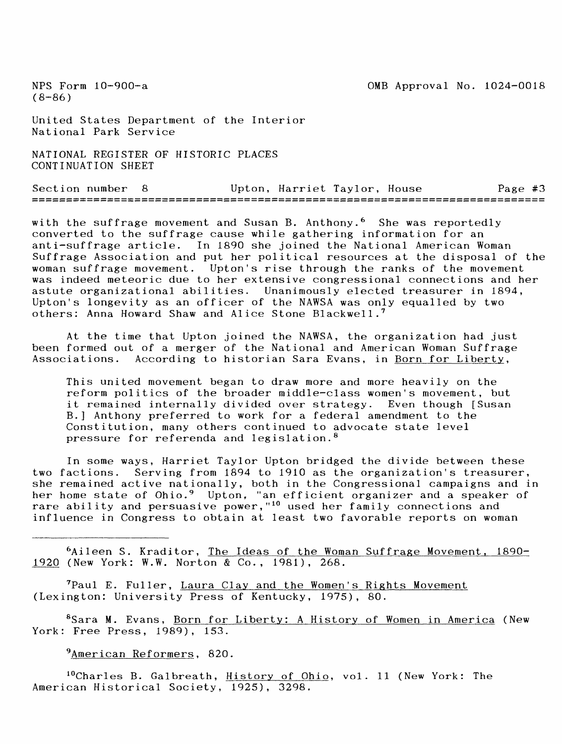United States Department of the Interior National Park Service

NATIONAL REGISTER OF HISTORIC PLACES CONTINUATION SHEET

Section number 8 Upton, Harriet Taylor, House Page #3

with the suffrage movement and Susan B. Anthony.<sup>6</sup> She was reportedly converted to the suffrage cause while gathering information for an anti-suffrage article. In 1890 she joined the National American Woman Suffrage Association and put her political resources at the disposal of the woman suffrage movement. Upton's rise through the ranks of the movement was indeed meteoric due to her extensive congressional connections and her astute organizational abilities. Unanimously elected treasurer in 1894, Upton's longevity as an officer of the NAWSA was only equalled by two others: Anna Howard Shaw and Alice Stone Blackwell.<sup>7</sup>

At the time that Upton joined the NAWSA, the organization had just been formed out of a merger of the National and American Woman Suffrage Associations. According to historian Sara Evans, in Born for Liberty,

This united movement began to draw more and more heavily on the reform politics of the broader middle-class women's movement, but it remained internally divided over strategy. Even though [Susan B.] Anthony preferred to work for a federal amendment to the Constitution, many others continued to advocate state level pressure for referenda and legislation, <sup>8</sup>

In some ways, Harriet Taylor Upton bridged the divide between these two factions. Serving from 1894 to 1910 as the organization's treasurer, she remained active nationally, both in the Congressional campaigns and in her home state of Ohio.<sup>9</sup> Upton, "an efficient organizer and a speaker of rare ability and persuasive power,"<sup>10</sup> used her family connections and influence in Congress to obtain at least two favorable reports on woman

6Aileen S. Kraditor, The Ideas of the Woman Suffrage Movement, 1890- 1920 (New York: W.W. Norton & Co., 1981), 268.

<sup>7</sup> Paul E. Fuller, Laura Clay and the Women's Rights Movement (Lexington: University Press of Kentucky, 1975), 80.

<sup>8</sup>Sara M. Evans, Born for Liberty: A History of Women in America (New York: Free Press, 1989), 153.

<sup>9</sup>American Reformers, 820.

<sup>10</sup>Charles B. Galbreath, **History of Ohio**, vol. 11 (New York: The American Historical Society, 1925), 3298.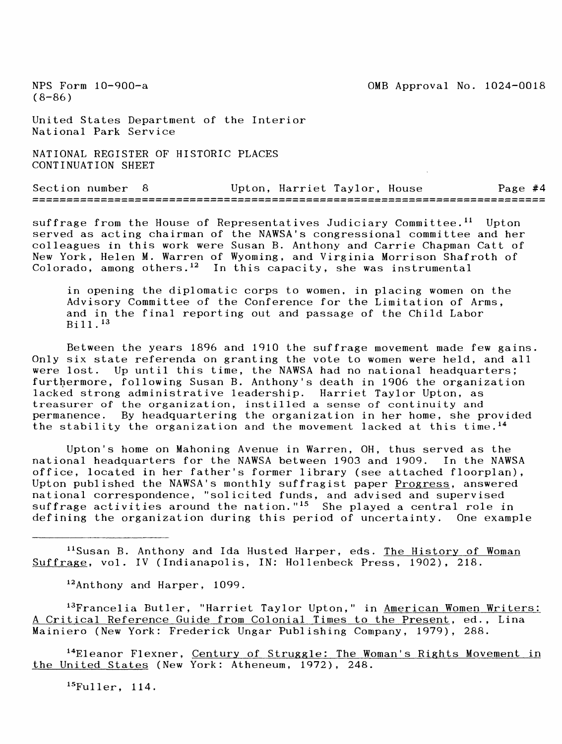United States Department of the Interior National Park Service

NATIONAL REGISTER OF HISTORIC PLACES CONTINUATION SHEET

Section number 8 Upton, Harriet Taylor, House Page #4

suffrage from the House of Representatives Judiciary Committee.<sup>11</sup> Upton served as acting chairman of the NAWSA's congressional committee and her colleagues in this work were Susan B. Anthony and Carrie Chapman Catt of New York, Helen M. Warren of Wyoming, and Virginia Morrison Shafroth of Colorado, among others. 12 In this capacity, she was instrumental

in opening the diplomatic corps to women, in placing women on the Advisory Committee of the Conference for the Limitation of Arms, and in the final reporting out and passage of the Child Labor Bill. <sup>13</sup>

Between the years 1896 and 1910 the suffrage movement made few gains. Only six state referenda on granting the vote to women were held, and all were lost. Up until this time, the NAWSA had no national headquarters; furthermore, following Susan B. Anthony's death in 1906 the organization lacked strong administrative leadership. Harriet Taylor Upton, as treasurer of the organization, instilled a sense of continuity and permanence. By headquartering the organization in her home, she provided the stability the organization and the movement lacked at this time. <sup>14</sup>

Upton's home on Mahoning Avenue in Warren, OH, thus served as the national headquarters for the NAWSA between 1903 and 1909. In the NAWSA office, located in her father's former library (see attached floorplan), Upton published the NAWSA's monthly suffragist paper Progress, answered national correspondence, "solicited funds, and advised and supervised suffrage activities around the nation."<sup>15</sup> She played a central role in defining the organization during this period of uncertainty. One example

<sup>11</sup>Susan B. Anthony and Ida Husted Harper, eds. The History of Woman Suffrage, vol. IV (Indianapolis, IN: Hollenbeck Press, 1902), 218.

<sup>12</sup> Anthony and Harper, 1099.

<sup>13</sup>Francelia Butler, "Harriet Taylor Upton," in <u>American Women Writers:</u> A Critical Reference Guide from Colonial Times to the Present, ed., Lina Mainiero (New York: Frederick Ungar Publishing Company, 1979), 288.

<sup>14</sup>Eleanor Flexner, Century of Struggle: The Woman's Rights Movement in the United States (New York: Atheneum, 1972), 248.

**15**Fuller, 114.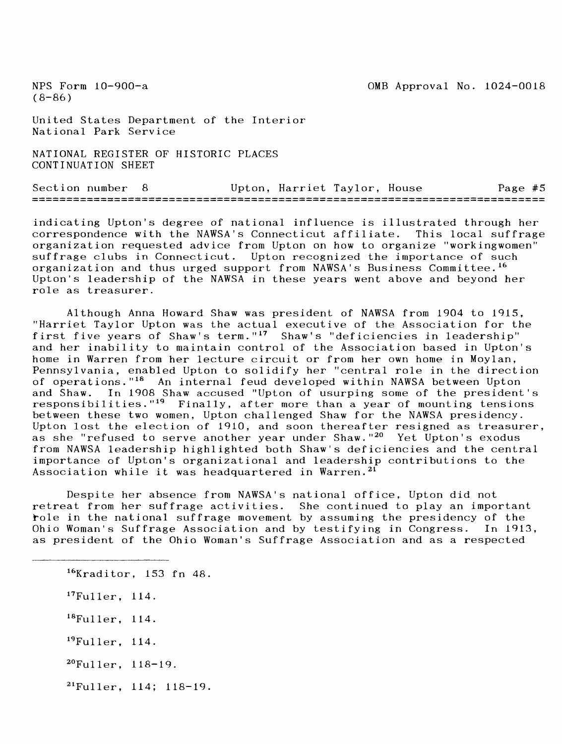United States Department of the Interior National Park Service

NATIONAL REGISTER OF HISTORIC PLACES CONTINUATION SHEET

Section number 8 Upton, Harriet Taylor, House Page #5

indicating Upton's degree of national influence is illustrated through her correspondence with the NAWSA's Connecticut affiliate. This local suffrage organization requested advice from Upton on how to organize "workingwomen" suffrage clubs in Connecticut. Upton recognized the importance of such organization and thus urged support from NAWSA's Business Committee.<sup>16</sup> Upton's leadership of the NAWSA in these years went above and beyond her role as treasurer.

Although Anna Howard Shaw was president of NAWSA from 1904 to 1915, "Harriet Taylor Upton was the actual executive of the Association for the first five years of Shaw's term."<sup>17</sup> Shaw's "deficiencies in leadership" and her inability to maintain control of the Association based in Upton's home in Warren from her lecture circuit or from her own home in Moylan, Pennsylvania, enabled Upton to solidify her "central role in the direction of operations."<sup>18</sup> An internal feud developed within NAWSA between Upton<br>and Shaw. In 1908 Shaw accused "Upton of usurping some of the president and Shaw. In 1908 Shaw accused "Upton of usurping some of the president's<br>responsibilities."<sup>19</sup> Finally, after more than a year of mounting tensions Finally, after more than a year of mounting tensions between these two women, Upton challenged Shaw for the NAWSA presidency. Upton lost the election of 1910, and soon thereafter resigned as treasurer, as she "refused to serve another year under Shaw."<sup>20</sup> Yet Upton's exodus from NAWSA leadership highlighted both Shaw's deficiencies and the central importance of Upton's organizational and leadership contributions to the Association while it was headquartered in Warren.<sup>21</sup>

Despite her absence from NAWSA's national office, Upton did not retreat from her suffrage activities. She continued to play an important role in the national suffrage movement by assuming the presidency of the Ohio Woman's Suffrage Association and by testifying in Congress. In 1913, as president of the Ohio Woman's Suffrage Association and as a respected

16Kraditor, 153 fn 48. <sup>17</sup> Fuller, 114. <sup>18</sup> Fuller, 114. <sup>19</sup> Fuller, 114. <sup>20</sup>Fuller, 118-19.  $21$  Fuller, 114; 118-19.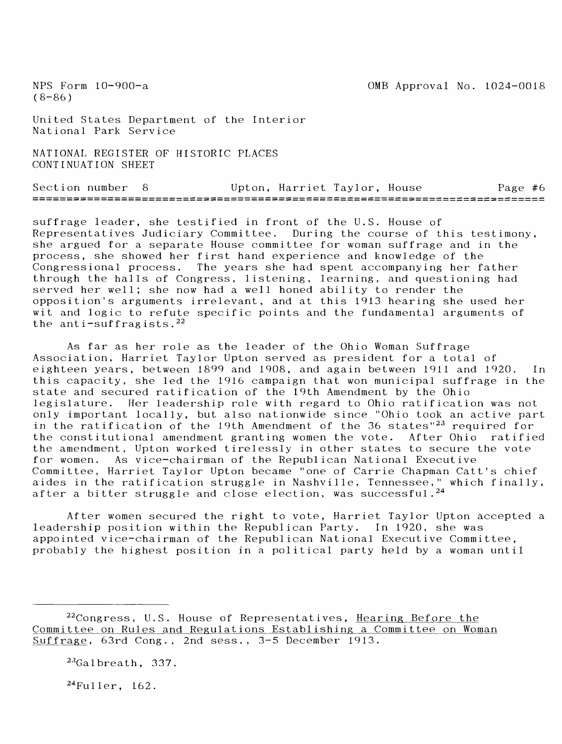$(8-86)$ 

United States Department of the Interior National Park Service

NATIONAL REGISTER OF HISTORIC PLACES CONTINUATION SHEET

Section number 8 Upton, Harriet Taylor, House Page #6

suffrage leader, she testified in front of the U.S. House of Representatives Judiciary Committee. During the course of this testimony, she argued for a separate House committee for woman suffrage and in the process, she showed her first hand experience and knowledge of the Congressional process. The years she had spent accompanying her father through the halls of Congress, listening, learning, and questioning had served her well; she now had a well honed ability to render the opposition's arguments irrelevant, and at this 1913 hearing she used her wit and logic to refute specific points and the fundamental arguments of the anti-suffragists. $22$ 

As far as her role as the leader of the Ohio Woman Suffrage Association, Harriet Taylor Upton served as president for a total of eighteen years, between 1899 and 1908, and again between 1911 and 1920. In this capacity, she led the 1916 campaign that won municipal suffrage in the state and secured ratification of the 19th Amendment by the Ohio legislature. Her leadership role with regard to Ohio ratification was not only important locally, but also nationwide since "Ohio took an active part in the ratification of the 19th Amendment of the 36 states" $^{23}$  required for the constitutional amendment granting women the vote. After Ohio ratified the amendment, Upton worked tirelessly in other states to secure the vote for women. As vice-chairman of the Republican National Executive Committee, Harriet Taylor Upton became "one of Carrie Chapman Catt's chief aides in the ratification struggle in Nashville, Tennessee," which finally, after a bitter struggle and close election, was successful. $^{24}$ 

After women secured the right to vote, Harriet Taylor Upton accepted a leadership position within the Republican Party. In 1920, she was appointed vice-chairman of the Republican National Executive Committee, probably the highest position in a political party held by a woman until

 $^{22}$ Congress, U.S. House of Representatives, Hearing Before the Committee on Rules and Regulations Establishing a Committee on Woman Suffrage, 63rd Cong., 2nd sess., 3-5 December 1913.

 $23$ Galbreath, 337.

24Fuller, 162.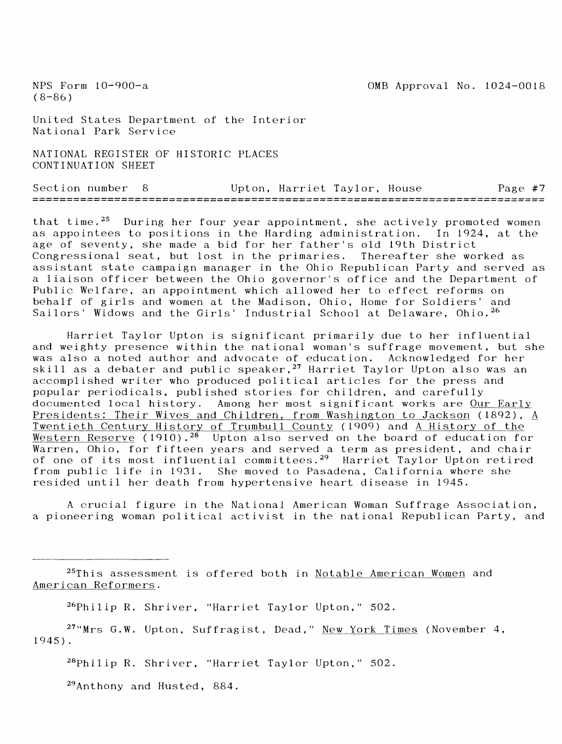United States Department of the Interior National Park Service

NATIONAL REGISTER OF HISTORIC PLACES CONTINUATION SHEET

| Section number a |  | Upton, Harriet Taylor, House |  | Page #7 |  |
|------------------|--|------------------------------|--|---------|--|
|                  |  |                              |  |         |  |

that time.<sup>25</sup> During her four year appointment, she actively promoted women as appointees to positions in the Harding administration. In 1924, at the age of seventy, she made a bid for her father's old 19th District Congressional seat, but lost in the primaries. Thereafter she worked as assistant state campaign manager in the Ohio Republican Party and served as a liaison officer between the Ohio governor's office and the Department of Public Welfare, an appointment which allowed her to effect reforms on behalf of girls and women at the Madison, Ohio, Home for Soldiers' and Sailors' Widows and the Girls' Industrial School at Delaware, Ohio.<sup>26</sup>

Harriet Taylor Upton is significant primarily due to her influential and weighty presence within the national woman's suffrage movement, but she was also a noted author and advocate of education. Acknowledged for her skill as a debater and public speaker,  $27$  Harriet Taylor Upton also was an accomplished writer who produced political articles for the press and popular periodicals, published stories for children, and carefully documented local history. Among her most significant works are Our Early Presidents: Their Wives and Children, from Washington to Jackson (1892), A Twentieth Century History of Trumbull County (1909) and A History of the Western Reserve (1910).<sup>28</sup> Upton also served on the board of education for Warren, Ohio, for fifteen years and served a term as president, and chair of one of its most influential committees.<sup>29</sup> Harriet Taylor Upton retired from public life in 1931. She moved to Pasadena, California where she resided until her death from hypertensive heart disease in 1945.

A crucial figure in the National American Woman Suffrage Association, a pioneering woman political activist in the national Republican Party, and

25This assessment is offered both in Notable American Women and American Reformers.

26Philip R. Shriver, "Harriet Taylor Upton," 502.

<sup>27</sup>"Mrs G.W. Upton, Suffragist, Dead," New York Times (November 4, 1945).

28Philip R. Shriver, "Harriet Taylor Upton," 502.

 $^{29}$ Anthony and Husted, 884.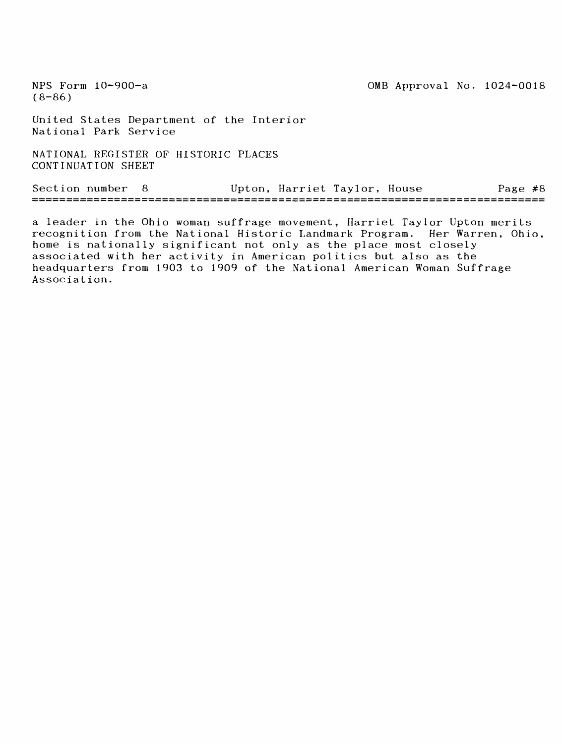(8-86)

United States Department of the Interior National Park Service

NATIONAL REGISTER OF HISTORIC PLACES CONTINUATION SHEET

Section number 8 Upton, Harriet Taylor, House Page #8

a leader in the Ohio woman suffrage movement, Harriet Taylor Upton merits recognition from the National Historic Landmark Program. Her Warren, Ohio, home is nationally significant not only as the place most closely associated with her activity in American politics but also as the headquarters from 1903 to 1909 of the National American Woman Suffrage Association.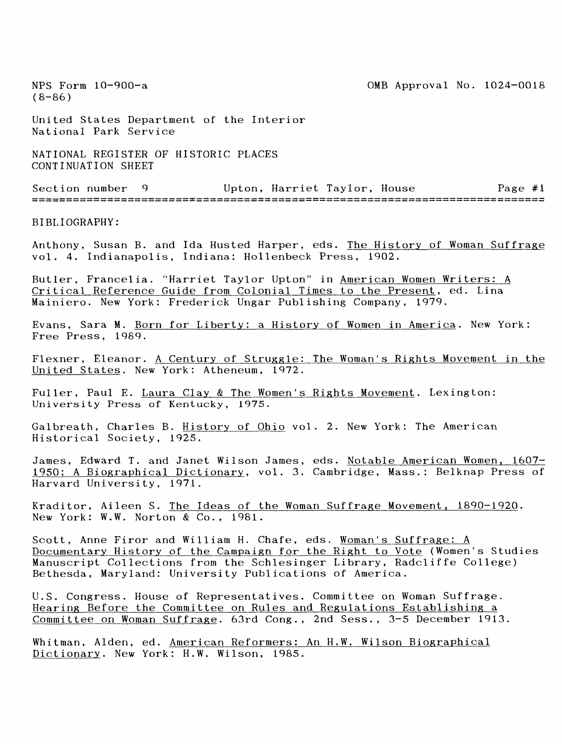NPS Form 10-900-a 0MB Approval No. 1024-0018

 $(8 - 86)$ 

United States Department of the Interior National Park Service

NATIONAL REGISTER OF HISTORIC PLACES CONTINUATION SHEET

Section number 9 Upton, Harriet Taylor, House Page #1

BIBLIOGRAPHY:

Anthony, Susan B. and Ida Husted Harper, eds. The History of Woman Suffrage vol. 4. Indianapolis, Indiana: Hollenbeck Press, 1902.

Butler, Francelia. "Harriet Taylor Upton" in American Women Writers: A Critical Reference Guide from Colonial Times to the Present, ed. Lina Mainiero. New York: Frederick Ungar Publishing Company, 1979.

Evans, Sara M. Born for Liberty: a History of Women in America. New York: Free Press, 1989.

Flexner, Eleanor. A Century of Struggle: The Woman's Rights Movement in the United States. New York: Atheneum, 1972.

Fuller, Paul E. Laura Clay & The Women's Rights Movement. Lexington: University Press of Kentucky, 1975.

Galbreath, Charles B. History of Ohio vol. 2. New York: The American Historical Society, 1925.

James, Edward T. and Janet Wilson James, eds. Notable American Women, 1607-1950: A Biographical Dictionary, vol. 3. Cambridge, Mass.: Belknap Press of Harvard University, 1971.

Kraditor, Aileen S. The Ideas of the Woman Suffrage Movement, 1890-1920. New York: W.W. Norton & Co., 1981.

Scott, Anne Firor and William H. Chafe, eds. Woman's Suffrage: A Documentary History of the Campaign for the Right to Vote (Women's Studies Manuscript Collections from the Schlesinger Library, Radcliffe College) Bethesda, Maryland: University Publications of America.

U.S. Congress. House of Representatives. Committee on Woman Suffrage. Hearing Before the Committee on Rules and Regulations Establishing a Committee on Woman Suffrage. 63rd Cong., 2nd Sess., 3-5 December 1913.

Whitman, Alden, ed. American Reformers: An H.W. Wilson Biographical Dictionary. New York: H.W. Wilson, 1985.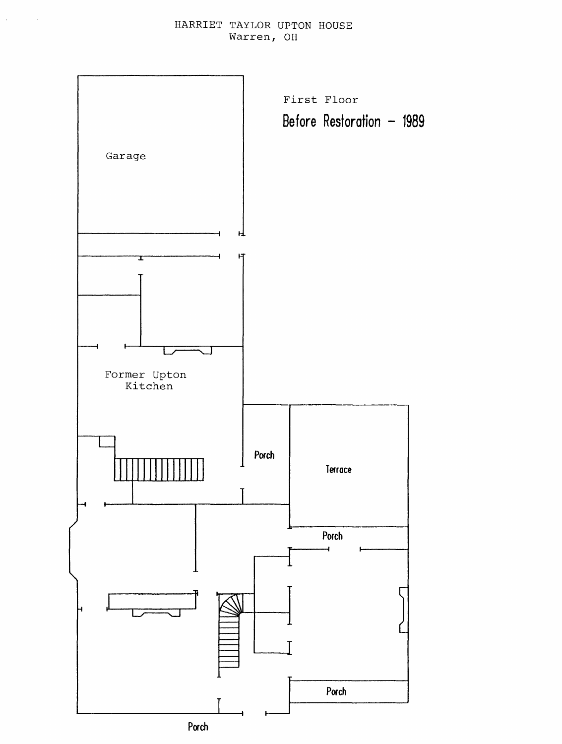HARRIET TAYLOR UPTON HOUSE Warren, OH

 $\sim$ 

 $\sim$ 

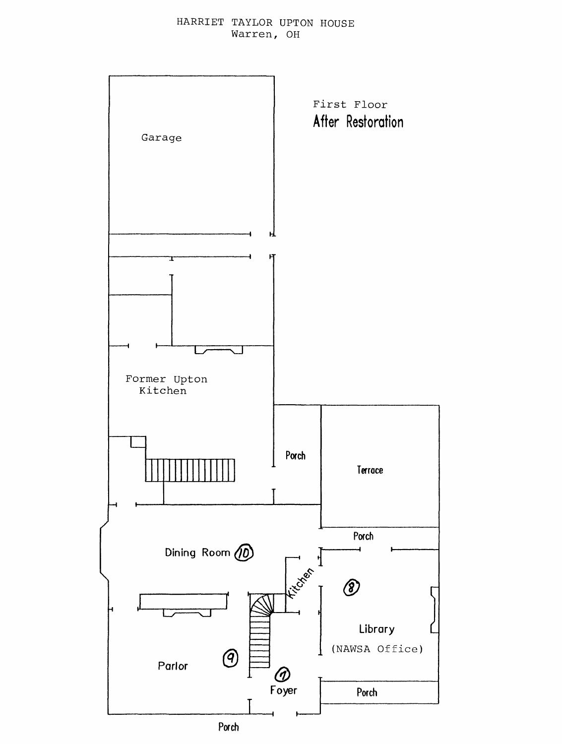HARRIET TAYLOR UPTON HOUSE Warren, OH

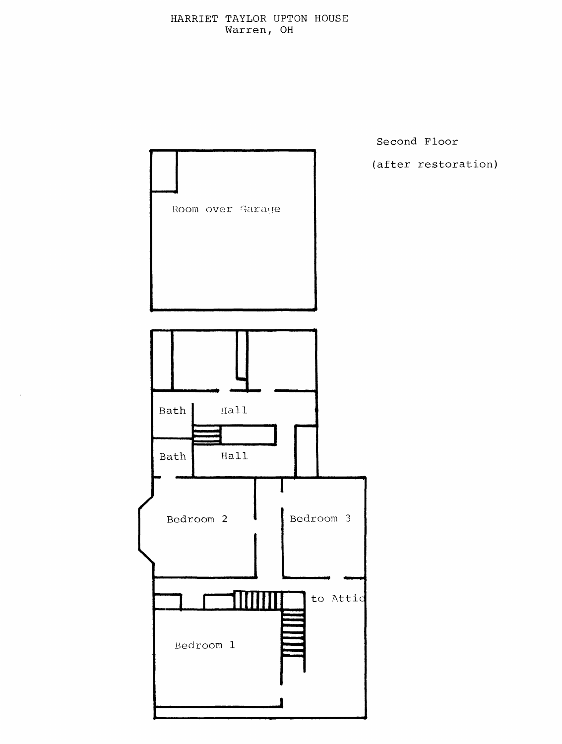

Second Floor (after restoration)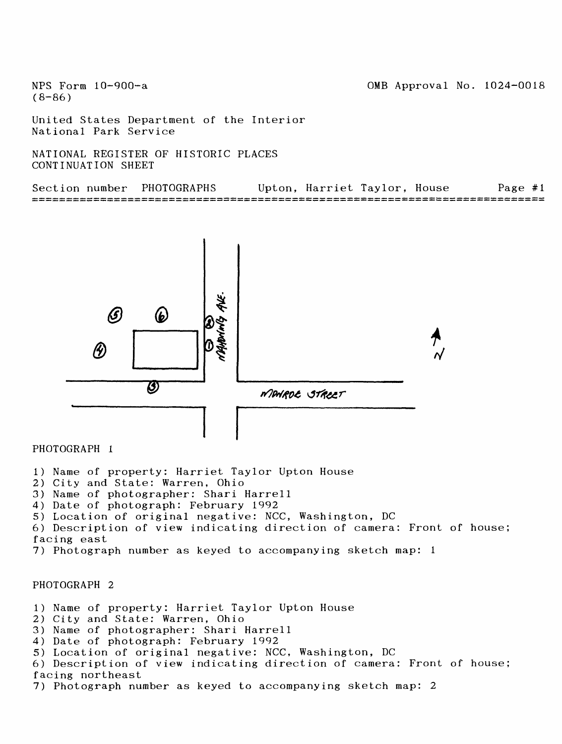0MB Approval No. 1024-0018

NFS Form 10-900~a  $(8 - 86)$ 

United States Department of the Interior National Park Service

NATIONAL REGISTER OF HISTORIC PLACES CONTINUATION SHEET

| Section number | PHOTOGRAPHS |  | Upton, Harriet Taylor, House | Page $#1$ |
|----------------|-------------|--|------------------------------|-----------|
|                |             |  |                              |           |



#### PHOTOGRAPH 1

- 1) Name of property: Harriet Taylor Upton House
- 2) City and State: Warren. Ohio
- 3) Name of photographer: Shari Harrell
- 4) Date of photograph: February 1992
- 5) Location of original negative: NCC, Washington, DC

6) Description of view indicating direction of camera: Front of house; facing east

7) Photograph number as keyed to accompanying sketch map: 1

#### PHOTOGRAPH 2

1) Name of property: Harriet Taylor Upton House

- 2) City and State: Warren, Ohio
- 3) Name of photographer: Shari Harrell
- 4) Date of photograph: February 1992
- 5) Location of original negative: NCC, Washington, DC

6) Description of view indicating direction of camera: Front of house; facing northeast

7) Photograph number as keyed to accompanying sketch map: 2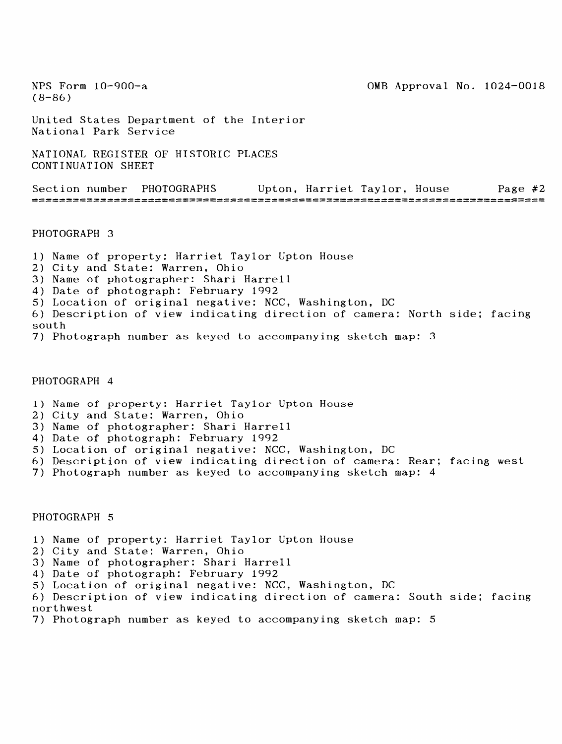NPS Form  $10-900-a$  0MB Approval No.  $1024-0018$  $(8-86)$ United States Department of the Interior National Park Service NATIONAL REGISTER OF HISTORIC PLACES CONTINUATION SHEET Section number PHOTOGRAPHS Upton, Harriet Taylor, House Page #2

PHOTOGRAPH 3

1) Name of property: Harriet Taylor Upton House 2) City and State: Warren, Ohio 3) Name of photographer: Shari Harrell 4) Date of photograph: February 1992 5) Location of original negative: NCC, Washington, DC 6) Description of view indicating direction of camera: North side; facing south

7) Photograph number as keyed to accompanying sketch map: 3

#### PHOTOGRAPH 4

- 1) Name of property: Harriet Taylor Upton House
- 2) City and State: Warren, Ohio
- 3) Name of photographer: Shari Harrell
- 4) Date of photograph: February 1992
- 5) Location of original negative: NCC, Washington, DC
- 6) Description of view indicating direction of camera: Rear; facing west
- 7) Photograph number as keyed to accompanying sketch map: 4

#### PHOTOGRAPH 5

- 1) Name of property: Harriet Taylor Upton House
- 2) City and State: Warren, Ohio
- 3) Name of photographer: Shari Harrell
- 4) Date of photograph: February 1992
- 5) Location of original negative: NCC, Washington, DC

6) Description of view indicating direction of camera: South side; facing northwest

7) Photograph number as keyed to accompanying sketch map: 5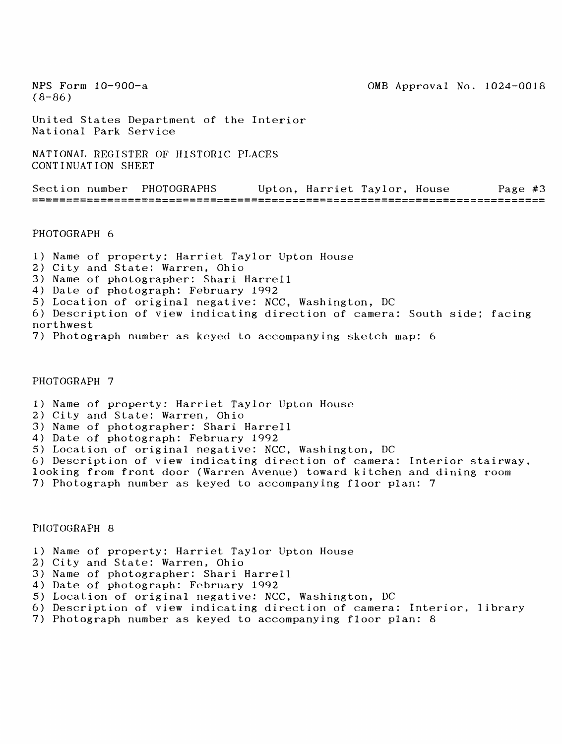NPS Form 10-900-a 2000 and 2000 and 2000 and 2000 and 2000 and 2000 and 2000 and 2000 and 2000 and 2000 and 20

 $(8-86)$ 

United States Department of the Interior National Park Service

NATIONAL REGISTER OF HISTORIC PLACES CONTINUATION SHEET

Section number PHOTOGRAPHS Upton, Harriet Taylor, House Page #3 

PHOTOGRAPH 6

1) Name of property: Harriet Taylor Upton House

- 2) City and State: Warren, Ohio
- 3) Name of photographer: Shari Harrell
- 4) Date of photograph: February 1992
- 5) Location of original negative: NCC, Washington, DC
- 6) Description of view indicating direction of camera: South side; facing northwest
- 7) Photograph number as keyed to accompanying sketch map: 6

#### PHOTOGRAPH 7

- 1) Name of property: Harriet Taylor Upton House
- 2) City and State: Warren, Ohio
- 3) Name of photographer: Shari Harrell
- 4) Date of photograph: February 1992
- 5) Location of original negative: NCC, Washington, DC
- 6) Description of view indicating direction of camera: Interior stairway,
- looking from front door (Warren Avenue) toward kitchen and dining room
- 7) Photograph number as keyed to accompanying floor plan: 7

#### PHOTOGRAPH 8

- 1) Name of property: Harriet Taylor Upton House
- 2) City and State: Warren, Ohio
- 3) Name of photographer: Shari Harrell
- 4) Date of photograph: February 1992
- 5) Location of original negative: NCC, Washington, DC
- 6) Description of view indicating direction of camera: Interior, library
- 7) Photograph number as keyed to accompanying floor plan: 8